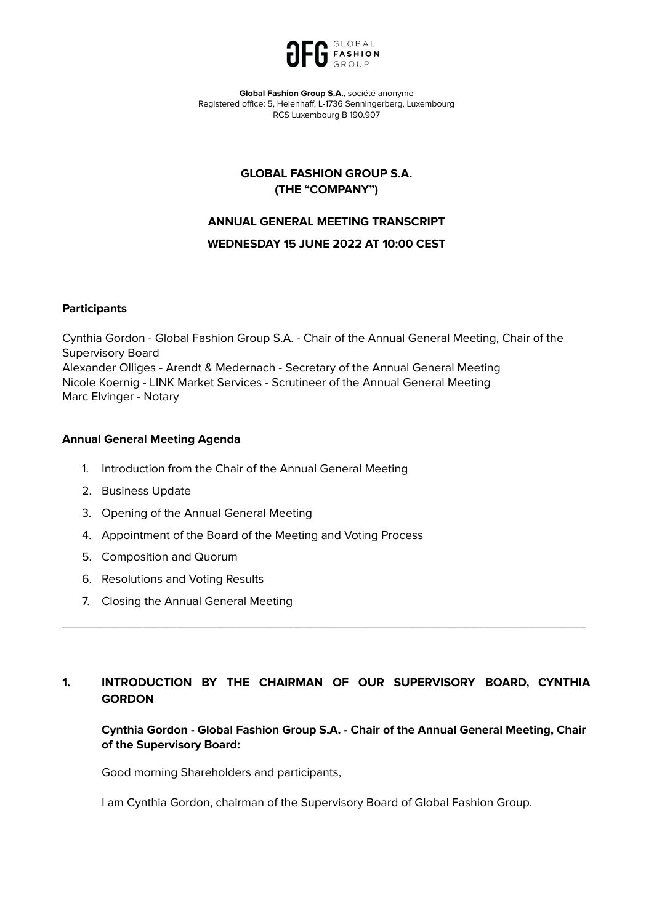

**Global Fashion Group S.A.**, société anonyme Registered office: 5, Heienhaff, L-1736 Senningerberg, Luxembourg RCS Luxembourg B 190.907

# **GLOBAL FASHION GROUP S.A. (THE "COMPANY")**

# **ANNUAL GENERAL MEETING TRANSCRIPT**

## **WEDNESDAY 15 JUNE 2022 AT 10:00 CEST**

# **Participants**

Cynthia Gordon - Global Fashion Group S.A. - Chair of the Annual General Meeting, Chair of the Supervisory Board Alexander Olliges - Arendt & Medernach - Secretary of the Annual General Meeting Nicole Koernig - LINK Market Services - Scrutineer of the Annual General Meeting Marc Elvinger - Notary

## **Annual General Meeting Agenda**

- 1. Introduction from the Chair of the Annual General Meeting
- 2. Business Update
- 3. Opening of the Annual General Meeting
- 4. Appointment of the Board of the Meeting and Voting Process
- 5. Composition and Quorum
- 6. Resolutions and Voting Results
- 7. Closing the Annual General Meeting

# **1. INTRODUCTION BY THE CHAIRMAN OF OUR SUPERVISORY BOARD, CYNTHIA GORDON**

\_\_\_\_\_\_\_\_\_\_\_\_\_\_\_\_\_\_\_\_\_\_\_\_\_\_\_\_\_\_\_\_\_\_\_\_\_\_\_\_\_\_\_\_\_\_\_\_\_\_\_\_\_\_\_\_\_\_\_\_\_\_\_\_\_\_\_\_\_\_\_\_\_\_\_\_\_

**Cynthia Gordon - Global Fashion Group S.A. - Chair of the Annual General Meeting, Chair of the Supervisory Board:**

Good morning Shareholders and participants,

I am Cynthia Gordon, chairman of the Supervisory Board of Global Fashion Group.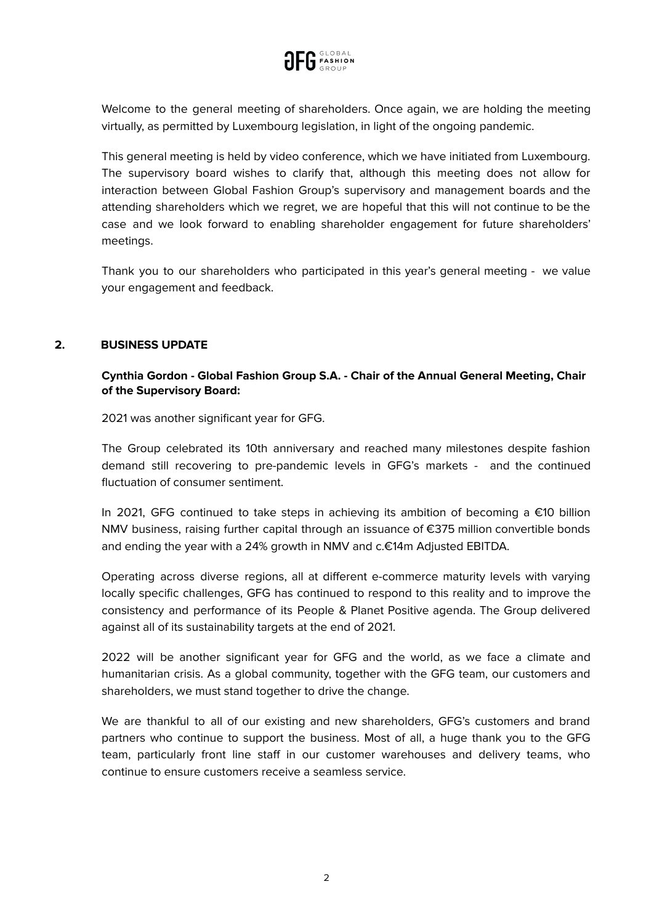

Welcome to the general meeting of shareholders. Once again, we are holding the meeting virtually, as permitted by Luxembourg legislation, in light of the ongoing pandemic.

This general meeting is held by video conference, which we have initiated from Luxembourg. The supervisory board wishes to clarify that, although this meeting does not allow for interaction between Global Fashion Group's supervisory and management boards and the attending shareholders which we regret, we are hopeful that this will not continue to be the case and we look forward to enabling shareholder engagement for future shareholders' meetings.

Thank you to our shareholders who participated in this year's general meeting - we value your engagement and feedback.

# **2. BUSINESS UPDATE**

# **Cynthia Gordon - Global Fashion Group S.A. - Chair of the Annual General Meeting, Chair of the Supervisory Board:**

2021 was another significant year for GFG.

The Group celebrated its 10th anniversary and reached many milestones despite fashion demand still recovering to pre-pandemic levels in GFG's markets - and the continued fluctuation of consumer sentiment.

In 2021, GFG continued to take steps in achieving its ambition of becoming a €10 billion NMV business, raising further capital through an issuance of €375 million convertible bonds and ending the year with a 24% growth in NMV and c.€14m Adjusted EBITDA.

Operating across diverse regions, all at different e-commerce maturity levels with varying locally specific challenges, GFG has continued to respond to this reality and to improve the consistency and performance of its People & Planet Positive agenda. The Group delivered against all of its sustainability targets at the end of 2021.

2022 will be another significant year for GFG and the world, as we face a climate and humanitarian crisis. As a global community, together with the GFG team, our customers and shareholders, we must stand together to drive the change.

We are thankful to all of our existing and new shareholders, GFG's customers and brand partners who continue to support the business. Most of all, a huge thank you to the GFG team, particularly front line staff in our customer warehouses and delivery teams, who continue to ensure customers receive a seamless service.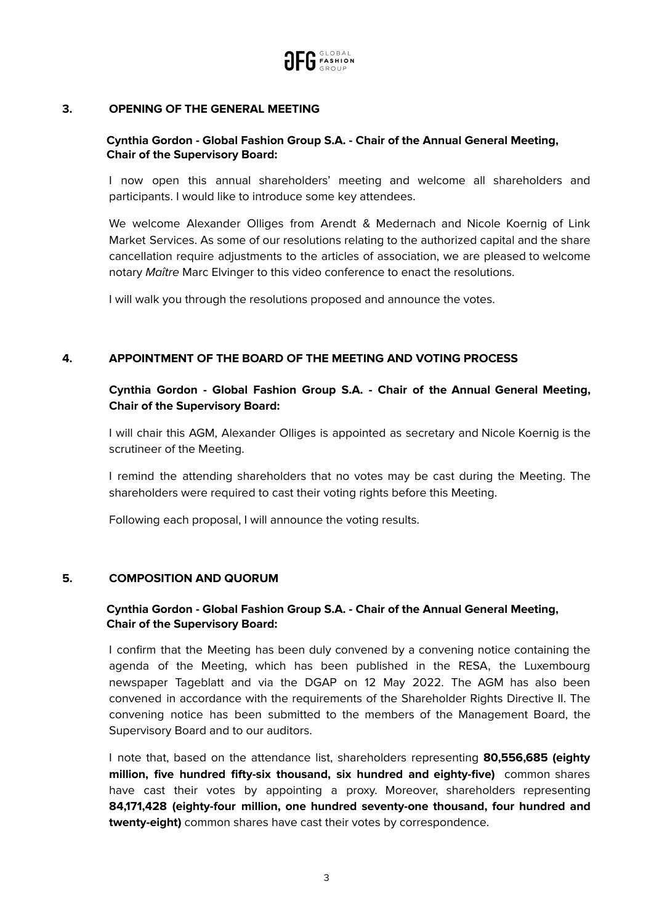

## **3. OPENING OF THE GENERAL MEETING**

# **Cynthia Gordon - Global Fashion Group S.A. - Chair of the Annual General Meeting, Chair of the Supervisory Board:**

I now open this annual shareholders' meeting and welcome all shareholders and participants. I would like to introduce some key attendees.

We welcome Alexander Olliges from Arendt & Medernach and Nicole Koernig of Link Market Services. As some of our resolutions relating to the authorized capital and the share cancellation require adjustments to the articles of association, we are pleased to welcome notary Maître Marc Elvinger to this video conference to enact the resolutions.

I will walk you through the resolutions proposed and announce the votes.

## **4. APPOINTMENT OF THE BOARD OF THE MEETING AND VOTING PROCESS**

# **Cynthia Gordon - Global Fashion Group S.A. - Chair of the Annual General Meeting, Chair of the Supervisory Board:**

I will chair this AGM, Alexander Olliges is appointed as secretary and Nicole Koernig is the scrutineer of the Meeting.

I remind the attending shareholders that no votes may be cast during the Meeting. The shareholders were required to cast their voting rights before this Meeting.

Following each proposal, I will announce the voting results.

## **5. COMPOSITION AND QUORUM**

# **Cynthia Gordon - Global Fashion Group S.A. - Chair of the Annual General Meeting, Chair of the Supervisory Board:**

I confirm that the Meeting has been duly convened by a convening notice containing the agenda of the Meeting, which has been published in the RESA, the Luxembourg newspaper Tageblatt and via the DGAP on 12 May 2022. The AGM has also been convened in accordance with the requirements of the Shareholder Rights Directive II. The convening notice has been submitted to the members of the Management Board, the Supervisory Board and to our auditors.

I note that, based on the attendance list, shareholders representing **80,556,685 (eighty million, five hundred fifty-six thousand, six hundred and eighty-five)** common shares have cast their votes by appointing a proxy. Moreover, shareholders representing **84,171,428 (eighty-four million, one hundred seventy-one thousand, four hundred and twenty-eight)** common shares have cast their votes by correspondence.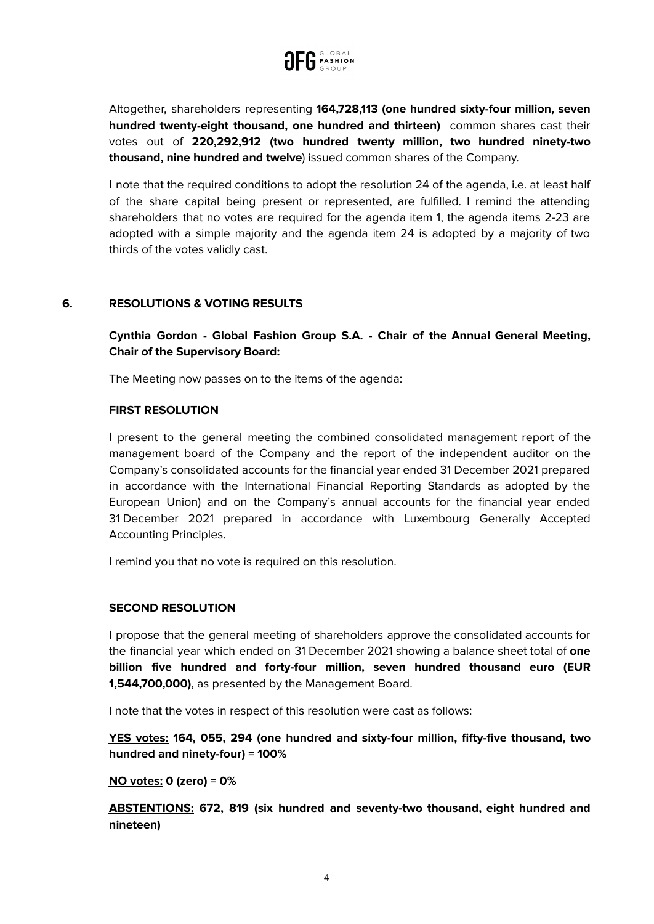

Altogether, shareholders representing **164,728,113 (one hundred sixty-four million, seven hundred twenty-eight thousand, one hundred and thirteen)** common shares cast their votes out of **220,292,912 (two hundred twenty million, two hundred ninety-two thousand, nine hundred and twelve**) issued common shares of the Company.

I note that the required conditions to adopt the resolution 24 of the agenda, i.e. at least half of the share capital being present or represented, are fulfilled. I remind the attending shareholders that no votes are required for the agenda item 1, the agenda items 2-23 are adopted with a simple majority and the agenda item 24 is adopted by a majority of two thirds of the votes validly cast.

# **6. RESOLUTIONS & VOTING RESULTS**

**Cynthia Gordon - Global Fashion Group S.A. - Chair of the Annual General Meeting, Chair of the Supervisory Board:**

The Meeting now passes on to the items of the agenda:

## **FIRST RESOLUTION**

I present to the general meeting the combined consolidated management report of the management board of the Company and the report of the independent auditor on the Company's consolidated accounts for the financial year ended 31 December 2021 prepared in accordance with the International Financial Reporting Standards as adopted by the European Union) and on the Company's annual accounts for the financial year ended 31 December 2021 prepared in accordance with Luxembourg Generally Accepted Accounting Principles.

I remind you that no vote is required on this resolution.

## **SECOND RESOLUTION**

I propose that the general meeting of shareholders approve the consolidated accounts for the financial year which ended on 31 December 2021 showing a balance sheet total of **one billion five hundred and forty-four million, seven hundred thousand euro (EUR 1,544,700,000)**, as presented by the Management Board.

I note that the votes in respect of this resolution were cast as follows:

**YES votes: 164, 055, 294 (one hundred and sixty-four million, fifty-five thousand, two hundred and ninety-four) = 100%**

**NO votes: 0 (zero) = 0%**

**ABSTENTIONS: 672, 819 (six hundred and seventy-two thousand, eight hundred and nineteen)**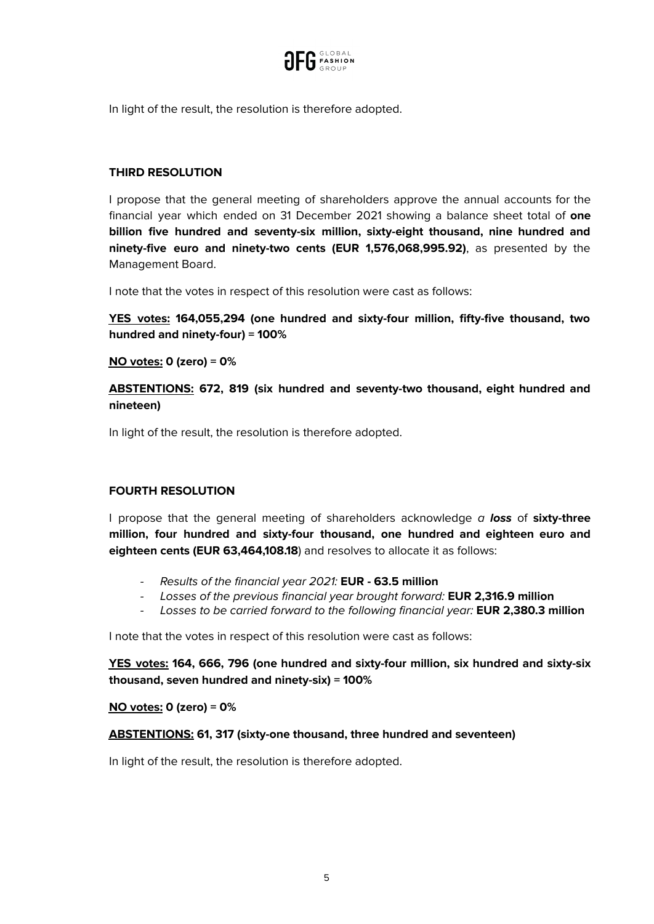

In light of the result, the resolution is therefore adopted.

# **THIRD RESOLUTION**

I propose that the general meeting of shareholders approve the annual accounts for the financial year which ended on 31 December 2021 showing a balance sheet total of **one billion five hundred and seventy-six million, sixty-eight thousand, nine hundred and ninety-five euro and ninety-two cents (EUR 1,576,068,995.92)**, as presented by the Management Board.

I note that the votes in respect of this resolution were cast as follows:

**YES votes: 164,055,294 (one hundred and sixty-four million, fifty-five thousand, two hundred and ninety-four) = 100%**

**NO votes: 0 (zero) = 0%**

**ABSTENTIONS: 672, 819 (six hundred and seventy-two thousand, eight hundred and nineteen)**

In light of the result, the resolution is therefore adopted.

# **FOURTH RESOLUTION**

I propose that the general meeting of shareholders acknowledge a **loss** of **sixty-three million, four hundred and sixty-four thousand, one hundred and eighteen euro and eighteen cents (EUR 63,464,108.18**) and resolves to allocate it as follows:

- Results of the financial year 2021: **EUR - 63.5 million**
- Losses of the previous financial year brought forward: **EUR 2,316.9 million**
- Losses to be carried forward to the following financial year: **EUR 2,380.3 million**

I note that the votes in respect of this resolution were cast as follows:

**YES votes: 164, 666, 796 (one hundred and sixty-four million, six hundred and sixty-six thousand, seven hundred and ninety-six) = 100%**

## **NO votes: 0 (zero) = 0%**

## **ABSTENTIONS: 61, 317 (sixty-one thousand, three hundred and seventeen)**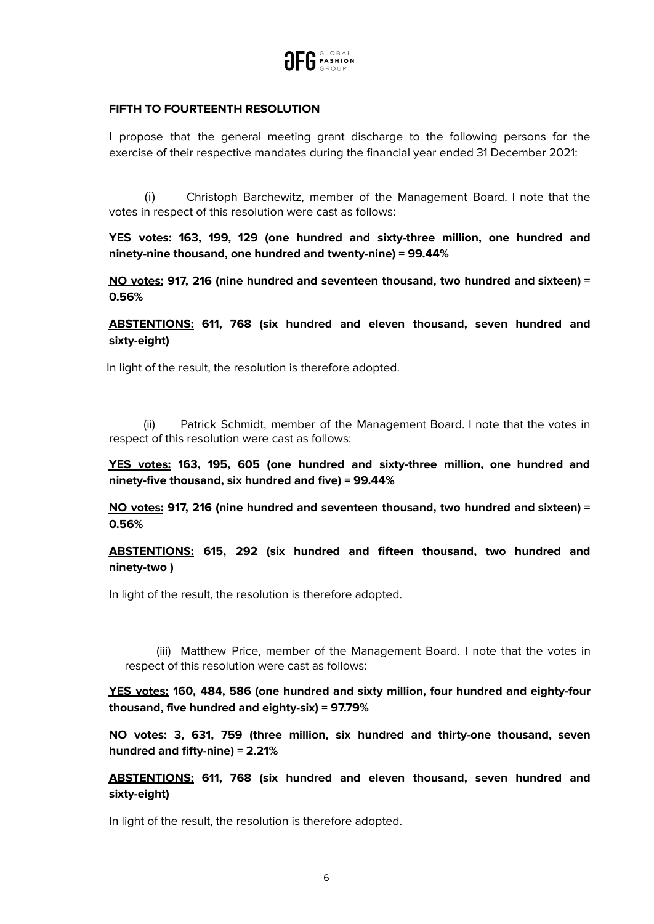

# **FIFTH TO FOURTEENTH RESOLUTION**

I propose that the general meeting grant discharge to the following persons for the exercise of their respective mandates during the financial year ended 31 December 2021:

(i) Christoph Barchewitz, member of the Management Board. I note that the votes in respect of this resolution were cast as follows:

**YES votes: 163, 199, 129 (one hundred and sixty-three million, one hundred and ninety-nine thousand, one hundred and twenty-nine) = 99.44%**

**NO votes: 917, 216 (nine hundred and seventeen thousand, two hundred and sixteen) = 0.56%**

**ABSTENTIONS: 611, 768 (six hundred and eleven thousand, seven hundred and sixty-eight)**

In light of the result, the resolution is therefore adopted.

(ii) Patrick Schmidt, member of the Management Board. I note that the votes in respect of this resolution were cast as follows:

**YES votes: 163, 195, 605 (one hundred and sixty-three million, one hundred and ninety-five thousand, six hundred and five) = 99.44%**

**NO votes: 917, 216 (nine hundred and seventeen thousand, two hundred and sixteen) = 0.56%**

**ABSTENTIONS: 615, 292 (six hundred and fifteen thousand, two hundred and ninety-two )**

In light of the result, the resolution is therefore adopted.

(iii) Matthew Price, member of the Management Board. I note that the votes in respect of this resolution were cast as follows:

**YES votes: 160, 484, 586 (one hundred and sixty million, four hundred and eighty-four thousand, five hundred and eighty-six) = 97.79%**

**NO votes: 3, 631, 759 (three million, six hundred and thirty-one thousand, seven hundred and fifty-nine) = 2.21%**

**ABSTENTIONS: 611, 768 (six hundred and eleven thousand, seven hundred and sixty-eight)**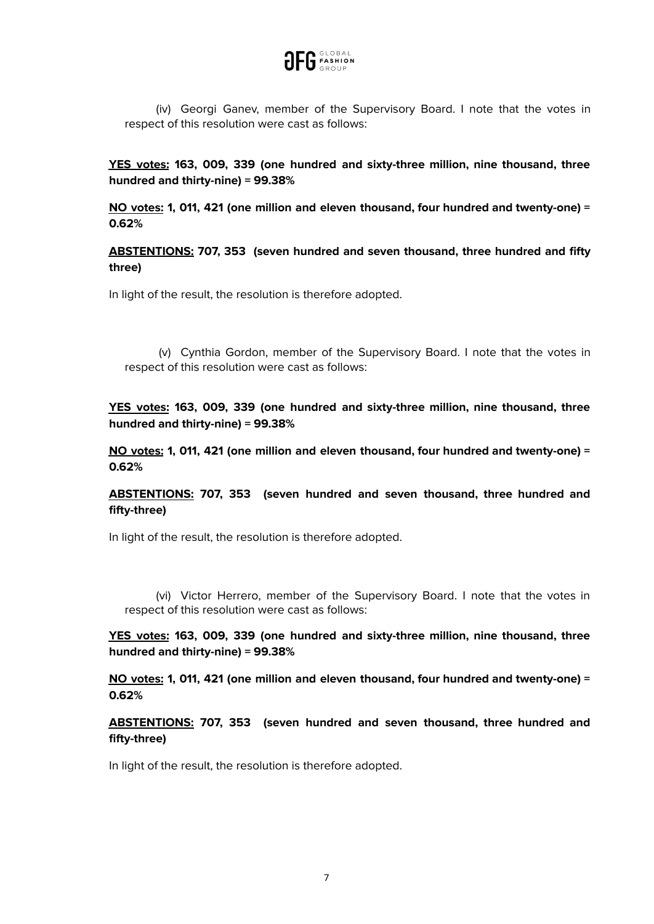

(iv) Georgi Ganev, member of the Supervisory Board. I note that the votes in respect of this resolution were cast as follows:

**YES votes: 163, 009, 339 (one hundred and sixty-three million, nine thousand, three hundred and thirty-nine) = 99.38%**

**NO votes: 1, 011, 421 (one million and eleven thousand, four hundred and twenty-one) = 0.62%**

**ABSTENTIONS: 707, 353 (seven hundred and seven thousand, three hundred and fifty three)**

In light of the result, the resolution is therefore adopted.

(v) Cynthia Gordon, member of the Supervisory Board. I note that the votes in respect of this resolution were cast as follows:

**YES votes: 163, 009, 339 (one hundred and sixty-three million, nine thousand, three hundred and thirty-nine) = 99.38%**

**NO votes: 1, 011, 421 (one million and eleven thousand, four hundred and twenty-one) = 0.62%**

**ABSTENTIONS: 707, 353 (seven hundred and seven thousand, three hundred and fifty-three)**

In light of the result, the resolution is therefore adopted.

(vi) Victor Herrero, member of the Supervisory Board. I note that the votes in respect of this resolution were cast as follows:

**YES votes: 163, 009, 339 (one hundred and sixty-three million, nine thousand, three hundred and thirty-nine) = 99.38%**

**NO votes: 1, 011, 421 (one million and eleven thousand, four hundred and twenty-one) = 0.62%**

**ABSTENTIONS: 707, 353 (seven hundred and seven thousand, three hundred and fifty-three)**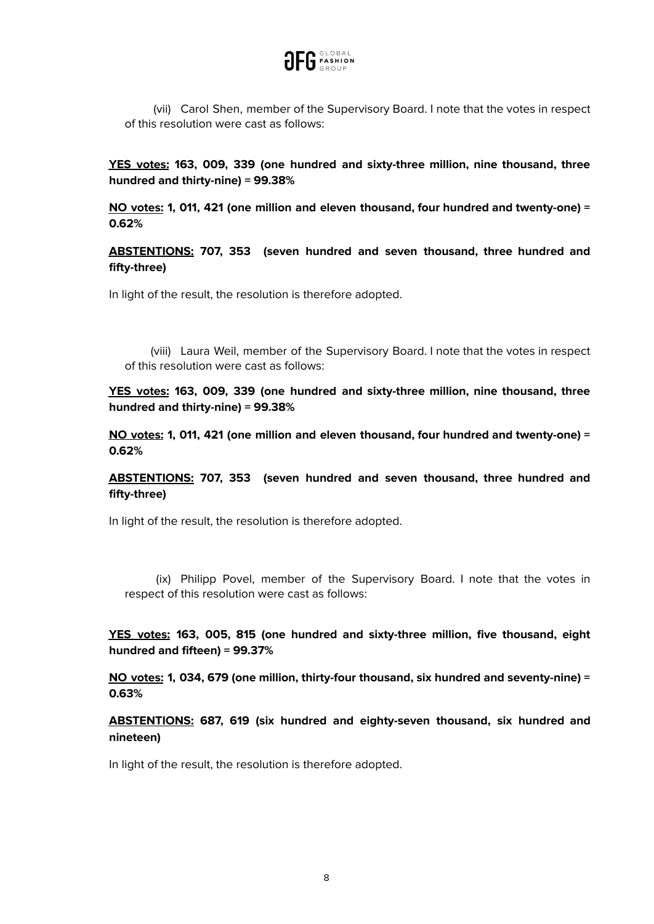

(vii) Carol Shen, member of the Supervisory Board. I note that the votes in respect of this resolution were cast as follows:

**YES votes: 163, 009, 339 (one hundred and sixty-three million, nine thousand, three hundred and thirty-nine) = 99.38%**

**NO votes: 1, 011, 421 (one million and eleven thousand, four hundred and twenty-one) = 0.62%**

**ABSTENTIONS: 707, 353 (seven hundred and seven thousand, three hundred and fifty-three)**

In light of the result, the resolution is therefore adopted.

(viii) Laura Weil, member of the Supervisory Board. I note that the votes in respect of this resolution were cast as follows:

**YES votes: 163, 009, 339 (one hundred and sixty-three million, nine thousand, three hundred and thirty-nine) = 99.38%**

**NO votes: 1, 011, 421 (one million and eleven thousand, four hundred and twenty-one) = 0.62%**

**ABSTENTIONS: 707, 353 (seven hundred and seven thousand, three hundred and fifty-three)**

In light of the result, the resolution is therefore adopted.

(ix) Philipp Povel, member of the Supervisory Board. I note that the votes in respect of this resolution were cast as follows:

**YES votes: 163, 005, 815 (one hundred and sixty-three million, five thousand, eight hundred and fifteen) = 99.37%**

**NO votes: 1, 034, 679 (one million, thirty-four thousand, six hundred and seventy-nine) = 0.63%**

**ABSTENTIONS: 687, 619 (six hundred and eighty-seven thousand, six hundred and nineteen)**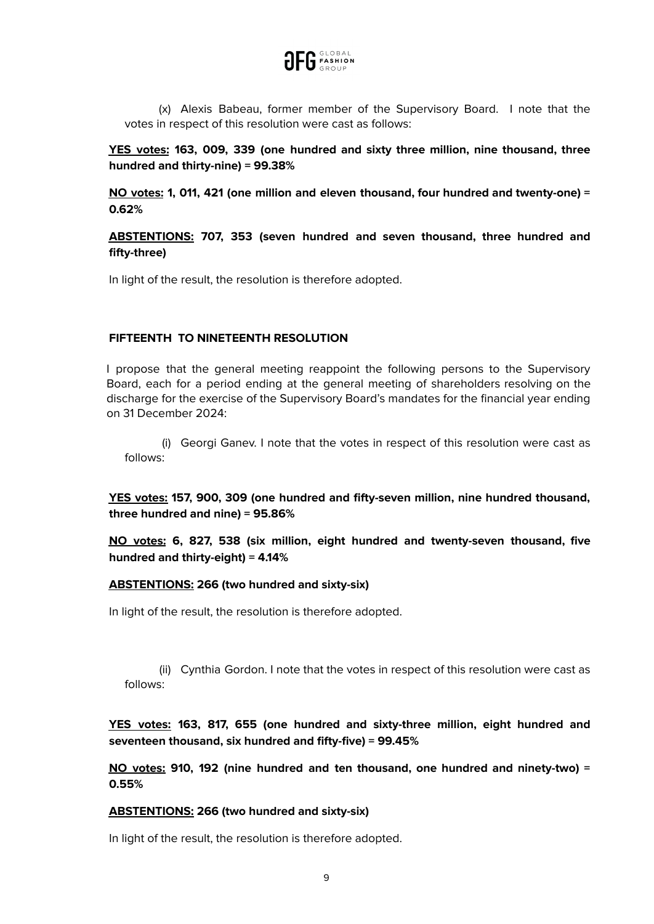

(x) Alexis Babeau, former member of the Supervisory Board. I note that the votes in respect of this resolution were cast as follows:

**YES votes: 163, 009, 339 (one hundred and sixty three million, nine thousand, three hundred and thirty-nine) = 99.38%**

**NO votes: 1, 011, 421 (one million and eleven thousand, four hundred and twenty-one) = 0.62%**

**ABSTENTIONS: 707, 353 (seven hundred and seven thousand, three hundred and fifty-three)**

In light of the result, the resolution is therefore adopted.

## **FIFTEENTH TO NINETEENTH RESOLUTION**

I propose that the general meeting reappoint the following persons to the Supervisory Board, each for a period ending at the general meeting of shareholders resolving on the discharge for the exercise of the Supervisory Board's mandates for the financial year ending on 31 December 2024:

(i) Georgi Ganev. I note that the votes in respect of this resolution were cast as follows:

**YES votes: 157, 900, 309 (one hundred and fifty-seven million, nine hundred thousand, three hundred and nine) = 95.86%**

**NO votes: 6, 827, 538 (six million, eight hundred and twenty-seven thousand, five hundred and thirty-eight) = 4.14%**

## **ABSTENTIONS: 266 (two hundred and sixty-six)**

In light of the result, the resolution is therefore adopted.

(ii) Cynthia Gordon. I note that the votes in respect of this resolution were cast as follows:

**YES votes: 163, 817, 655 (one hundred and sixty-three million, eight hundred and seventeen thousand, six hundred and fifty-five) = 99.45%**

**NO votes: 910, 192 (nine hundred and ten thousand, one hundred and ninety-two) = 0.55%**

# **ABSTENTIONS: 266 (two hundred and sixty-six)**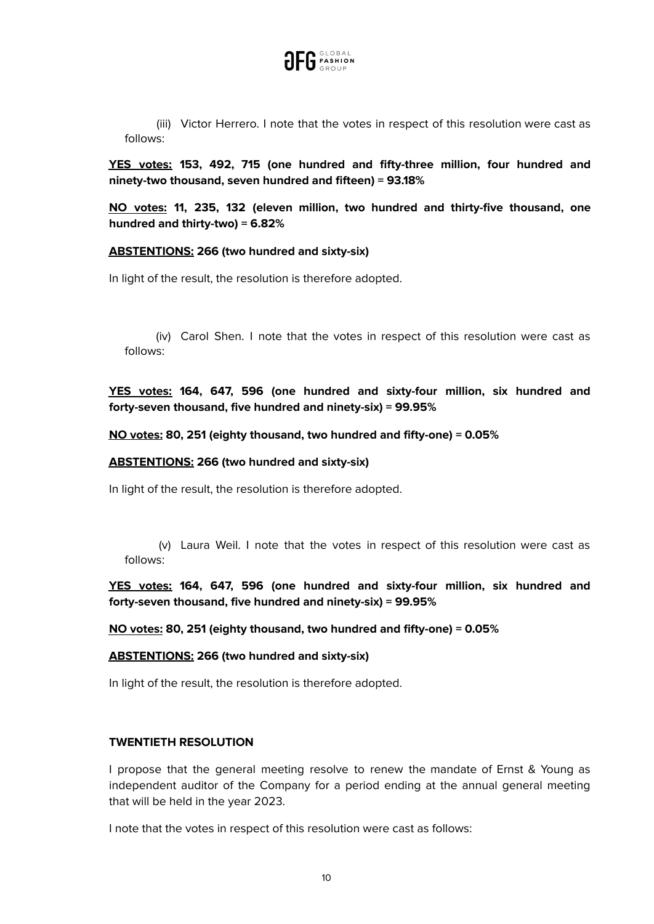

(iii) Victor Herrero. I note that the votes in respect of this resolution were cast as follows:

**YES votes: 153, 492, 715 (one hundred and fifty-three million, four hundred and ninety-two thousand, seven hundred and fifteen) = 93.18%**

**NO votes: 11, 235, 132 (eleven million, two hundred and thirty-five thousand, one hundred and thirty-two) = 6.82%**

#### **ABSTENTIONS: 266 (two hundred and sixty-six)**

In light of the result, the resolution is therefore adopted.

(iv) Carol Shen. I note that the votes in respect of this resolution were cast as follows:

**YES votes: 164, 647, 596 (one hundred and sixty-four million, six hundred and forty-seven thousand, five hundred and ninety-six) = 99.95%**

**NO votes: 80, 251 (eighty thousand, two hundred and fifty-one) = 0.05%**

#### **ABSTENTIONS: 266 (two hundred and sixty-six)**

In light of the result, the resolution is therefore adopted.

(v) Laura Weil. I note that the votes in respect of this resolution were cast as follows:

**YES votes: 164, 647, 596 (one hundred and sixty-four million, six hundred and forty-seven thousand, five hundred and ninety-six) = 99.95%**

**NO votes: 80, 251 (eighty thousand, two hundred and fifty-one) = 0.05%**

#### **ABSTENTIONS: 266 (two hundred and sixty-six)**

In light of the result, the resolution is therefore adopted.

#### **TWENTIETH RESOLUTION**

I propose that the general meeting resolve to renew the mandate of Ernst & Young as independent auditor of the Company for a period ending at the annual general meeting that will be held in the year 2023.

I note that the votes in respect of this resolution were cast as follows: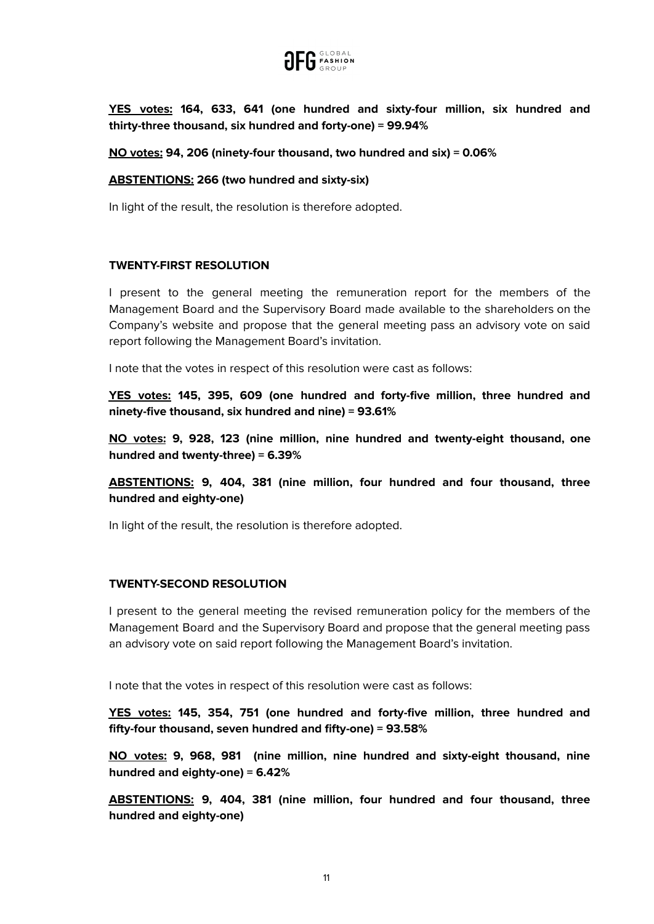

**YES votes: 164, 633, 641 (one hundred and sixty-four million, six hundred and thirty-three thousand, six hundred and forty-one) = 99.94%**

## **NO votes: 94, 206 (ninety-four thousand, two hundred and six) = 0.06%**

## **ABSTENTIONS: 266 (two hundred and sixty-six)**

In light of the result, the resolution is therefore adopted.

# **TWENTY-FIRST RESOLUTION**

I present to the general meeting the remuneration report for the members of the Management Board and the Supervisory Board made available to the shareholders on the Company's website and propose that the general meeting pass an advisory vote on said report following the Management Board's invitation.

I note that the votes in respect of this resolution were cast as follows:

**YES votes: 145, 395, 609 (one hundred and forty-five million, three hundred and ninety-five thousand, six hundred and nine) = 93.61%**

**NO votes: 9, 928, 123 (nine million, nine hundred and twenty-eight thousand, one hundred and twenty-three) = 6.39%**

**ABSTENTIONS: 9, 404, 381 (nine million, four hundred and four thousand, three hundred and eighty-one)**

In light of the result, the resolution is therefore adopted.

## **TWENTY-SECOND RESOLUTION**

I present to the general meeting the revised remuneration policy for the members of the Management Board and the Supervisory Board and propose that the general meeting pass an advisory vote on said report following the Management Board's invitation.

I note that the votes in respect of this resolution were cast as follows:

**YES votes: 145, 354, 751 (one hundred and forty-five million, three hundred and fifty-four thousand, seven hundred and fifty-one) = 93.58%**

**NO votes: 9, 968, 981 (nine million, nine hundred and sixty-eight thousand, nine hundred and eighty-one) = 6.42%**

**ABSTENTIONS: 9, 404, 381 (nine million, four hundred and four thousand, three hundred and eighty-one)**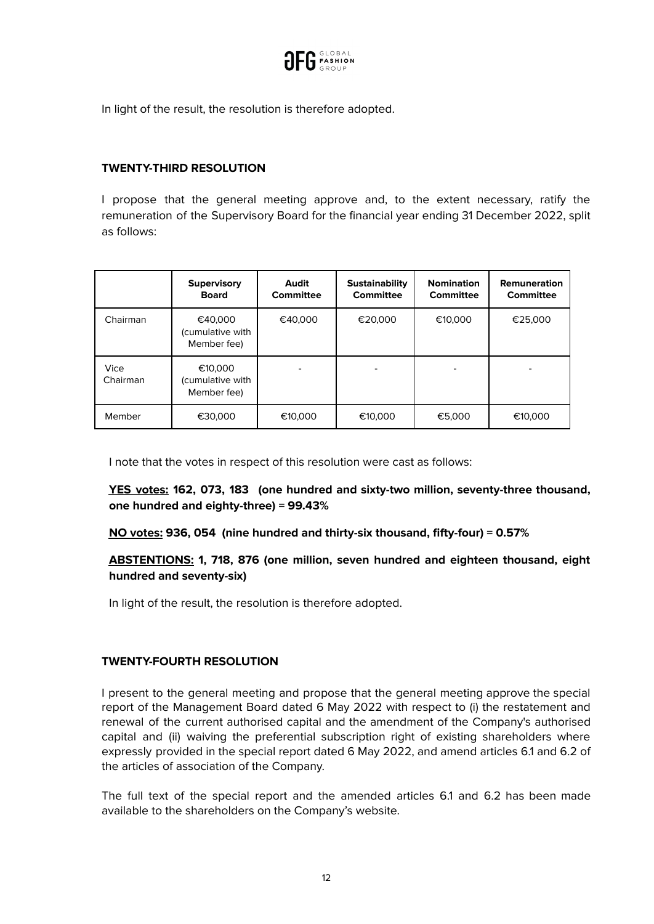

In light of the result, the resolution is therefore adopted.

# **TWENTY-THIRD RESOLUTION**

I propose that the general meeting approve and, to the extent necessary, ratify the remuneration of the Supervisory Board for the financial year ending 31 December 2022, split as follows:

|                  | <b>Supervisory</b><br><b>Board</b>         | Audit<br>Committee | <b>Sustainability</b><br><b>Committee</b> | <b>Nomination</b><br>Committee | Remuneration<br><b>Committee</b> |
|------------------|--------------------------------------------|--------------------|-------------------------------------------|--------------------------------|----------------------------------|
| Chairman         | €40,000<br>(cumulative with<br>Member fee) | €40,000            | €20,000                                   | €10,000                        | €25,000                          |
| Vice<br>Chairman | €10,000<br>(cumulative with<br>Member fee) |                    |                                           |                                | ۰                                |
| Member           | €30,000                                    | €10,000            | €10,000                                   | €5,000                         | €10,000                          |

I note that the votes in respect of this resolution were cast as follows:

**YES votes: 162, 073, 183 (one hundred and sixty-two million, seventy-three thousand, one hundred and eighty-three) = 99.43%**

## **NO votes: 936, 054 (nine hundred and thirty-six thousand, fifty-four) = 0.57%**

# **ABSTENTIONS: 1, 718, 876 (one million, seven hundred and eighteen thousand, eight hundred and seventy-six)**

In light of the result, the resolution is therefore adopted.

# **TWENTY-FOURTH RESOLUTION**

I present to the general meeting and propose that the general meeting approve the special report of the Management Board dated 6 May 2022 with respect to (i) the restatement and renewal of the current authorised capital and the amendment of the Company's authorised capital and (ii) waiving the preferential subscription right of existing shareholders where expressly provided in the special report dated 6 May 2022, and amend articles 6.1 and 6.2 of the articles of association of the Company.

The full text of the special report and the amended articles 6.1 and 6.2 has been made available to the shareholders on the Company's website.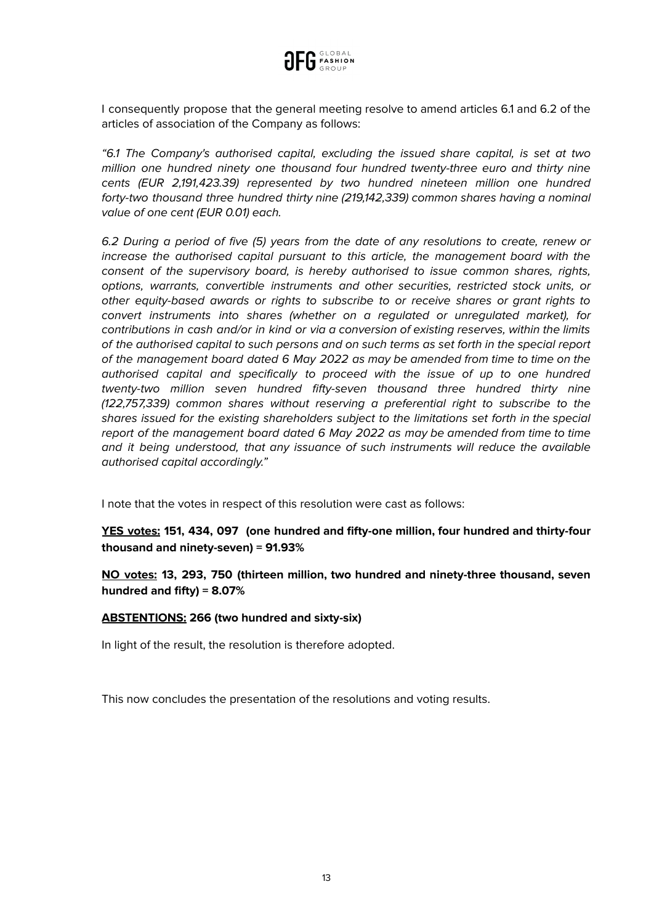

I consequently propose that the general meeting resolve to amend articles 6.1 and 6.2 of the articles of association of the Company as follows:

"6.1 The Company's authorised capital, excluding the issued share capital, is set at two million one hundred ninety one thousand four hundred twenty-three euro and thirty nine cents (EUR 2,191,423.39) represented by two hundred nineteen million one hundred forty-two thousand three hundred thirty nine (219,142,339) common shares having a nominal value of one cent (EUR 0.01) each.

6.2 During a period of five (5) years from the date of any resolutions to create, renew or increase the authorised capital pursuant to this article, the management board with the consent of the supervisory board, is hereby authorised to issue common shares, rights, options, warrants, convertible instruments and other securities, restricted stock units, or other equity-based awards or rights to subscribe to or receive shares or grant rights to convert instruments into shares (whether on a regulated or unregulated market), for contributions in cash and/or in kind or via a conversion of existing reserves, within the limits of the authorised capital to such persons and on such terms as set forth in the special report of the management board dated 6 May 2022 as may be amended from time to time on the authorised capital and specifically to proceed with the issue of up to one hundred twenty-two million seven hundred fifty-seven thousand three hundred thirty nine (122,757,339) common shares without reserving a preferential right to subscribe to the shares issued for the existing shareholders subject to the limitations set forth in the special report of the management board dated 6 May 2022 as may be amended from time to time and it being understood, that any issuance of such instruments will reduce the available authorised capital accordingly."

I note that the votes in respect of this resolution were cast as follows:

**YES votes: 151, 434, 097 (one hundred and fifty-one million, four hundred and thirty-four thousand and ninety-seven) = 91.93%**

**NO votes: 13, 293, 750 (thirteen million, two hundred and ninety-three thousand, seven hundred and fifty) = 8.07%**

## **ABSTENTIONS: 266 (two hundred and sixty-six)**

In light of the result, the resolution is therefore adopted.

This now concludes the presentation of the resolutions and voting results.